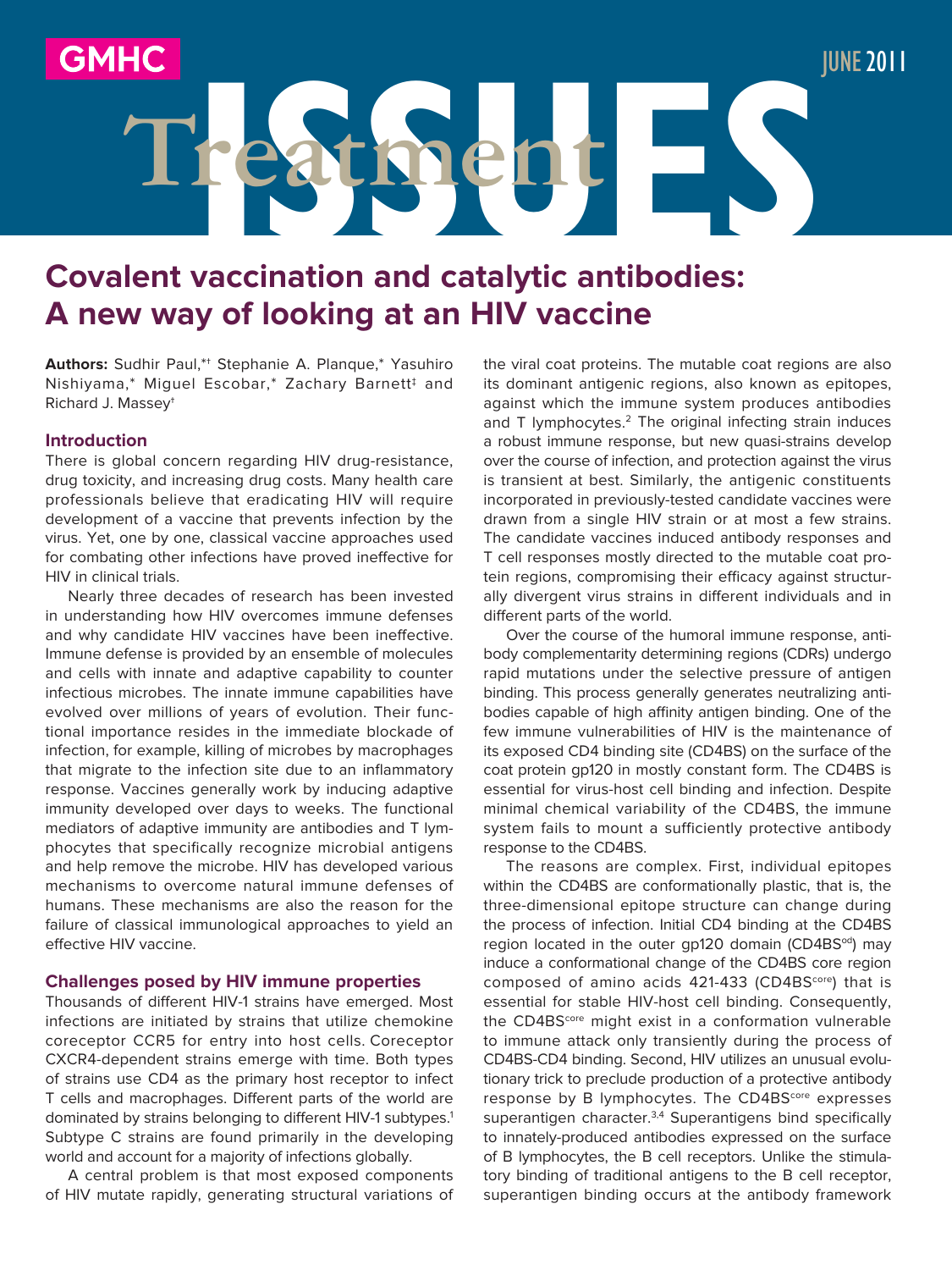# **Covalent vaccination and catalytic antibodies: A new way of looking at an HIV vaccine**

**ISSUES Treatment**

**Authors:** Sudhir Paul,\*† Stephanie A. Planque,\* Yasuhiro Nishiyama,\* Miguel Escobar,\* Zachary Barnett‡ and Richard J. Massey†

### **Introduction**

There is global concern regarding HIV drug-resistance, drug toxicity, and increasing drug costs. Many health care professionals believe that eradicating HIV will require development of a vaccine that prevents infection by the virus. Yet, one by one, classical vaccine approaches used for combating other infections have proved ineffective for HIV in clinical trials.

Nearly three decades of research has been invested in understanding how HIV overcomes immune defenses and why candidate HIV vaccines have been ineffective. Immune defense is provided by an ensemble of molecules and cells with innate and adaptive capability to counter infectious microbes. The innate immune capabilities have evolved over millions of years of evolution. Their functional importance resides in the immediate blockade of infection, for example, killing of microbes by macrophages that migrate to the infection site due to an inflammatory response. Vaccines generally work by inducing adaptive immunity developed over days to weeks. The functional mediators of adaptive immunity are antibodies and T lymphocytes that specifically recognize microbial antigens and help remove the microbe. HIV has developed various mechanisms to overcome natural immune defenses of humans. These mechanisms are also the reason for the failure of classical immunological approaches to yield an effective HIV vaccine.

#### **Challenges posed by HIV immune properties**

Thousands of different HIV-1 strains have emerged. Most infections are initiated by strains that utilize chemokine coreceptor CCR5 for entry into host cells. Coreceptor CXCR4-dependent strains emerge with time. Both types of strains use CD4 as the primary host receptor to infect T cells and macrophages. Different parts of the world are dominated by strains belonging to different HIV-1 subtypes.<sup>1</sup> Subtype C strains are found primarily in the developing world and account for a majority of infections globally.

A central problem is that most exposed components of HIV mutate rapidly, generating structural variations of

the viral coat proteins. The mutable coat regions are also its dominant antigenic regions, also known as epitopes, against which the immune system produces antibodies and T lymphocytes.<sup>2</sup> The original infecting strain induces a robust immune response, but new quasi-strains develop over the course of infection, and protection against the virus is transient at best. Similarly, the antigenic constituents incorporated in previously-tested candidate vaccines were drawn from a single HIV strain or at most a few strains. The candidate vaccines induced antibody responses and T cell responses mostly directed to the mutable coat protein regions, compromising their efficacy against structurally divergent virus strains in different individuals and in different parts of the world.

June2011

Over the course of the humoral immune response, antibody complementarity determining regions (CDRs) undergo rapid mutations under the selective pressure of antigen binding. This process generally generates neutralizing antibodies capable of high affinity antigen binding. One of the few immune vulnerabilities of HIV is the maintenance of its exposed CD4 binding site (CD4BS) on the surface of the coat protein gp120 in mostly constant form. The CD4BS is essential for virus-host cell binding and infection. Despite minimal chemical variability of the CD4BS, the immune system fails to mount a sufficiently protective antibody response to the CD4BS.

The reasons are complex. First, individual epitopes within the CD4BS are conformationally plastic, that is, the three-dimensional epitope structure can change during the process of infection. Initial CD4 binding at the CD4BS region located in the outer gp120 domain (CD4BS<sup>od</sup>) may induce a conformational change of the CD4BS core region composed of amino acids 421-433 (CD4BS<sup>core</sup>) that is essential for stable HIV-host cell binding. Consequently, the CD4BS<sup>core</sup> might exist in a conformation vulnerable to immune attack only transiently during the process of CD4BS-CD4 binding. Second, HIV utilizes an unusual evolutionary trick to preclude production of a protective antibody response by B lymphocytes. The CD4BS<sup>core</sup> expresses superantigen character.<sup>3,4</sup> Superantigens bind specifically to innately-produced antibodies expressed on the surface of B lymphocytes, the B cell receptors. Unlike the stimulatory binding of traditional antigens to the B cell receptor, superantigen binding occurs at the antibody framework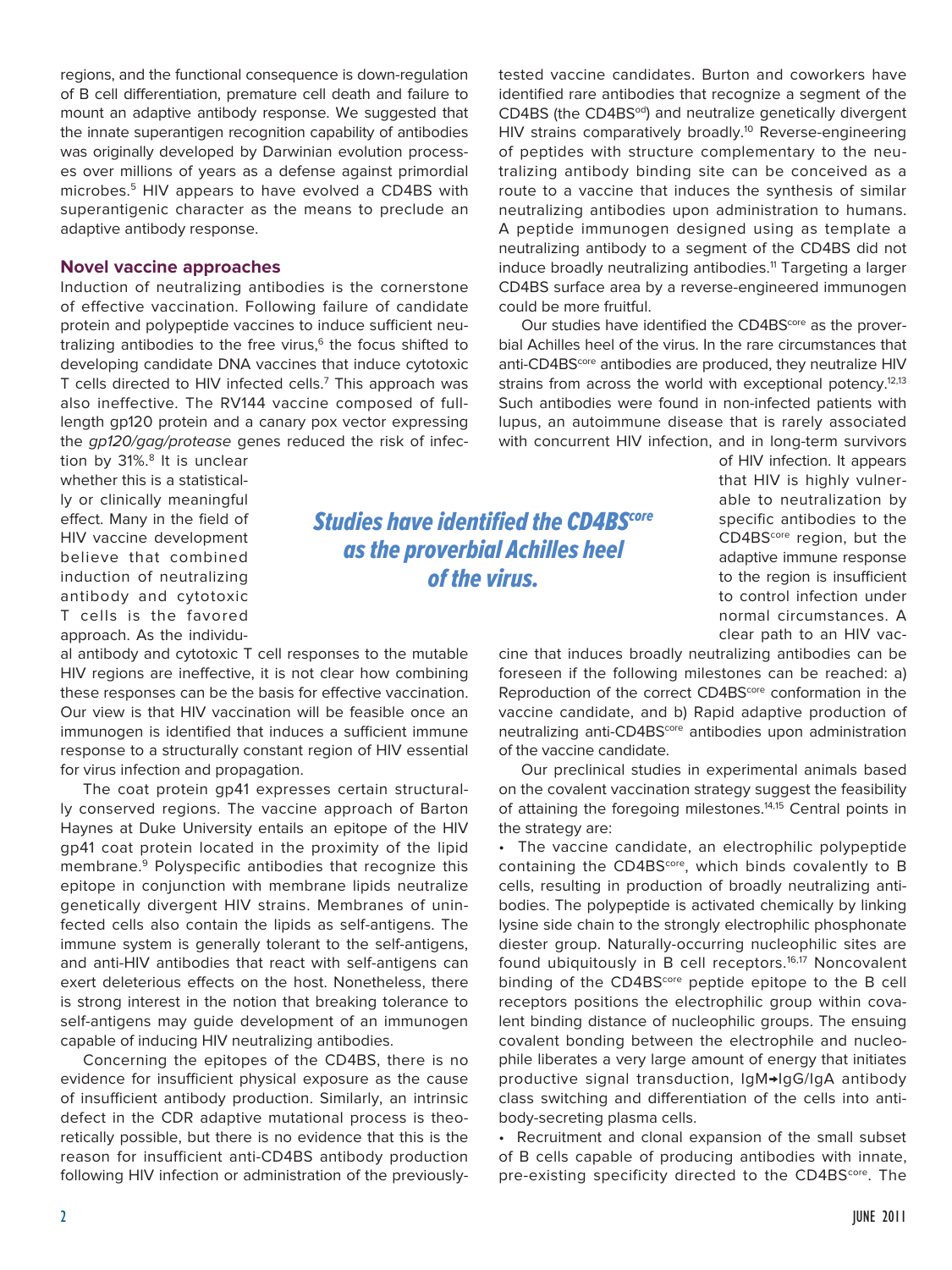regions, and the functional consequence is down-regulation of B cell differentiation, premature cell death and failure to mount an adaptive antibody response. We suggested that the innate superantigen recognition capability of antibodies was originally developed by Darwinian evolution processes over millions of years as a defense against primordial microbes.<sup>5</sup> HIV appears to have evolved a CD4BS with superantigenic character as the means to preclude an adaptive antibody response.

### **Novel vaccine approaches**

Induction of neutralizing antibodies is the cornerstone of effective vaccination. Following failure of candidate protein and polypeptide vaccines to induce sufficient neutralizing antibodies to the free virus, $6$  the focus shifted to developing candidate DNA vaccines that induce cytotoxic T cells directed to HIV infected cells.7 This approach was also ineffective. The RV144 vaccine composed of fulllength gp120 protein and a canary pox vector expressing the gp120/gag/protease genes reduced the risk of infec-

tion by 31%.<sup>8</sup> It is unclear whether this is a statistically or clinically meaningful effect. Many in the field of HIV vaccine development believe that combined induction of neutralizing antibody and cytotoxic T cells is the favored approach. As the individu-

al antibody and cytotoxic T cell responses to the mutable HIV regions are ineffective, it is not clear how combining these responses can be the basis for effective vaccination. Our view is that HIV vaccination will be feasible once an immunogen is identified that induces a sufficient immune response to a structurally constant region of HIV essential for virus infection and propagation.

The coat protein gp41 expresses certain structurally conserved regions. The vaccine approach of Barton Haynes at Duke University entails an epitope of the HIV gp41 coat protein located in the proximity of the lipid membrane.9 Polyspecific antibodies that recognize this epitope in conjunction with membrane lipids neutralize genetically divergent HIV strains. Membranes of uninfected cells also contain the lipids as self-antigens. The immune system is generally tolerant to the self-antigens, and anti-HIV antibodies that react with self-antigens can exert deleterious effects on the host. Nonetheless, there is strong interest in the notion that breaking tolerance to self-antigens may guide development of an immunogen capable of inducing HIV neutralizing antibodies.

Concerning the epitopes of the CD4BS, there is no evidence for insufficient physical exposure as the cause of insufficient antibody production. Similarly, an intrinsic defect in the CDR adaptive mutational process is theoretically possible, but there is no evidence that this is the reason for insufficient anti-CD4BS antibody production following HIV infection or administration of the previouslytested vaccine candidates. Burton and coworkers have identified rare antibodies that recognize a segment of the CD4BS (the CD4BS<sup>od</sup>) and neutralize genetically divergent HIV strains comparatively broadly.<sup>10</sup> Reverse-engineering of peptides with structure complementary to the neutralizing antibody binding site can be conceived as a route to a vaccine that induces the synthesis of similar neutralizing antibodies upon administration to humans. A peptide immunogen designed using as template a neutralizing antibody to a segment of the CD4BS did not induce broadly neutralizing antibodies.<sup>11</sup> Targeting a larger CD4BS surface area by a reverse-engineered immunogen could be more fruitful.

Our studies have identified the CD4BS<sup>core</sup> as the proverbial Achilles heel of the virus. In the rare circumstances that anti-CD4BS<sup>core</sup> antibodies are produced, they neutralize HIV strains from across the world with exceptional potency.<sup>12,13</sup> Such antibodies were found in non-infected patients with lupus, an autoimmune disease that is rarely associated with concurrent HIV infection, and in long-term survivors

> of HIV infection. It appears that HIV is highly vulnerable to neutralization by specific antibodies to the CD4BS<sup>core</sup> region, but the adaptive immune response to the region is insufficient to control infection under normal circumstances. A clear path to an HIV vac-

cine that induces broadly neutralizing antibodies can be foreseen if the following milestones can be reached: a) Reproduction of the correct CD4BS<sup>core</sup> conformation in the vaccine candidate, and b) Rapid adaptive production of neutralizing anti-CD4BS<sup>core</sup> antibodies upon administration of the vaccine candidate.

Our preclinical studies in experimental animals based on the covalent vaccination strategy suggest the feasibility of attaining the foregoing milestones.<sup>14,15</sup> Central points in the strategy are:

• The vaccine candidate, an electrophilic polypeptide containing the CD4BS<sup>core</sup>, which binds covalently to B cells, resulting in production of broadly neutralizing antibodies. The polypeptide is activated chemically by linking lysine side chain to the strongly electrophilic phosphonate diester group. Naturally-occurring nucleophilic sites are found ubiquitously in B cell receptors.<sup>16,17</sup> Noncovalent binding of the CD4BS<sup>core</sup> peptide epitope to the B cell receptors positions the electrophilic group within covalent binding distance of nucleophilic groups. The ensuing covalent bonding between the electrophile and nucleophile liberates a very large amount of energy that initiates productive signal transduction, IgM→IgG/IgA antibody class switching and differentiation of the cells into antibody-secreting plasma cells.

• Recruitment and clonal expansion of the small subset of B cells capable of producing antibodies with innate, pre-existing specificity directed to the CD4BS<sup>core</sup>. The

**Studies have identified the CD4BS**core as the proverbial Achilles heel of the virus.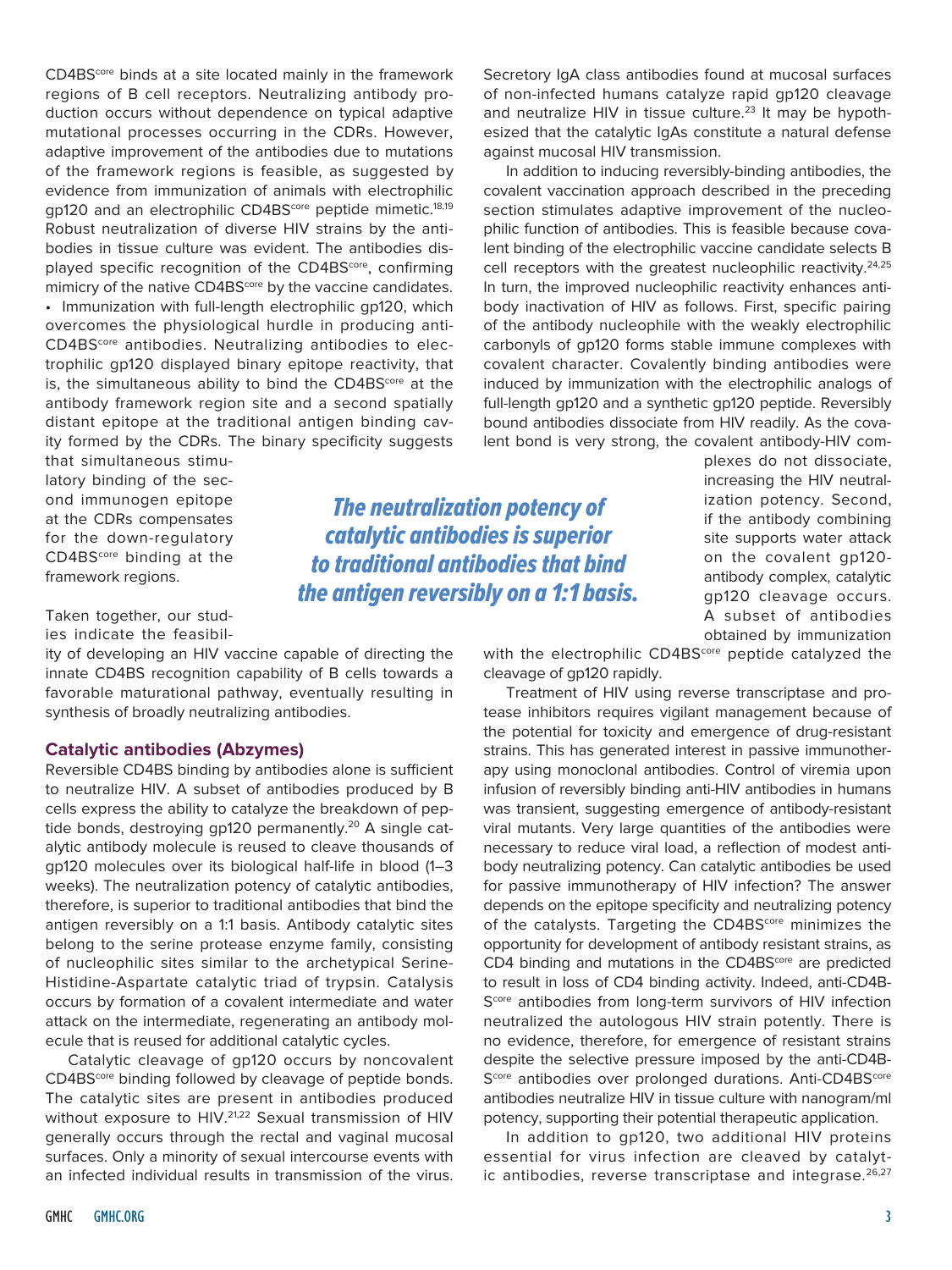CD4BS<sup>core</sup> binds at a site located mainly in the framework regions of B cell receptors. Neutralizing antibody production occurs without dependence on typical adaptive mutational processes occurring in the CDRs. However, adaptive improvement of the antibodies due to mutations of the framework regions is feasible, as suggested by evidence from immunization of animals with electrophilic gp120 and an electrophilic CD4BS<sup>core</sup> peptide mimetic.<sup>18,19</sup> Robust neutralization of diverse HIV strains by the antibodies in tissue culture was evident. The antibodies displayed specific recognition of the CD4BS<sup>core</sup>, confirming mimicry of the native CD4BS<sup>core</sup> by the vaccine candidates. • Immunization with full-length electrophilic gp120, which overcomes the physiological hurdle in producing anti-CD4BScore antibodies. Neutralizing antibodies to electrophilic gp120 displayed binary epitope reactivity, that is, the simultaneous ability to bind the CD4BS<sup>core</sup> at the antibody framework region site and a second spatially distant epitope at the traditional antigen binding cavity formed by the CDRs. The binary specificity suggests

that simultaneous stimulatory binding of the second immunogen epitope at the CDRs compensates for the down-regulatory CD4BS<sup>core</sup> binding at the framework regions.

Taken together, our studies indicate the feasibil-

ity of developing an HIV vaccine capable of directing the innate CD4BS recognition capability of B cells towards a favorable maturational pathway, eventually resulting in synthesis of broadly neutralizing antibodies.

## **Catalytic antibodies (Abzymes)**

Reversible CD4BS binding by antibodies alone is sufficient to neutralize HIV. A subset of antibodies produced by B cells express the ability to catalyze the breakdown of peptide bonds, destroying gp120 permanently.<sup>20</sup> A single catalytic antibody molecule is reused to cleave thousands of gp120 molecules over its biological half-life in blood (1–3 weeks). The neutralization potency of catalytic antibodies, therefore, is superior to traditional antibodies that bind the antigen reversibly on a 1:1 basis. Antibody catalytic sites belong to the serine protease enzyme family, consisting of nucleophilic sites similar to the archetypical Serine-Histidine-Aspartate catalytic triad of trypsin. Catalysis occurs by formation of a covalent intermediate and water attack on the intermediate, regenerating an antibody molecule that is reused for additional catalytic cycles.

Catalytic cleavage of gp120 occurs by noncovalent CD4BS<sup>core</sup> binding followed by cleavage of peptide bonds. The catalytic sites are present in antibodies produced without exposure to HIV.<sup>21,22</sup> Sexual transmission of HIV generally occurs through the rectal and vaginal mucosal surfaces. Only a minority of sexual intercourse events with an infected individual results in transmission of the virus. Secretory IgA class antibodies found at mucosal surfaces of non-infected humans catalyze rapid gp120 cleavage and neutralize HIV in tissue culture.<sup>23</sup> It may be hypothesized that the catalytic IgAs constitute a natural defense against mucosal HIV transmission.

In addition to inducing reversibly-binding antibodies, the covalent vaccination approach described in the preceding section stimulates adaptive improvement of the nucleophilic function of antibodies. This is feasible because covalent binding of the electrophilic vaccine candidate selects B cell receptors with the greatest nucleophilic reactivity.<sup>24,25</sup> In turn, the improved nucleophilic reactivity enhances antibody inactivation of HIV as follows. First, specific pairing of the antibody nucleophile with the weakly electrophilic carbonyls of gp120 forms stable immune complexes with covalent character. Covalently binding antibodies were induced by immunization with the electrophilic analogs of full-length gp120 and a synthetic gp120 peptide. Reversibly bound antibodies dissociate from HIV readily. As the covalent bond is very strong, the covalent antibody-HIV com-

The neutralization potency of catalytic antibodies is superior to traditional antibodies that bind the antigen reversibly on a 1:1 basis. plexes do not dissociate, increasing the HIV neutralization potency. Second, if the antibody combining site supports water attack on the covalent gp120 antibody complex, catalytic gp120 cleavage occurs. A subset of antibodies obtained by immunization

with the electrophilic CD4BS<sup>core</sup> peptide catalyzed the cleavage of gp120 rapidly.

Treatment of HIV using reverse transcriptase and protease inhibitors requires vigilant management because of the potential for toxicity and emergence of drug-resistant strains. This has generated interest in passive immunotherapy using monoclonal antibodies. Control of viremia upon infusion of reversibly binding anti-HIV antibodies in humans was transient, suggesting emergence of antibody-resistant viral mutants. Very large quantities of the antibodies were necessary to reduce viral load, a reflection of modest antibody neutralizing potency. Can catalytic antibodies be used for passive immunotherapy of HIV infection? The answer depends on the epitope specificity and neutralizing potency of the catalysts. Targeting the CD4BS<sup>core</sup> minimizes the opportunity for development of antibody resistant strains, as CD4 binding and mutations in the CD4BS<sup>core</sup> are predicted to result in loss of CD4 binding activity. Indeed, anti-CD4B-S<sup>core</sup> antibodies from long-term survivors of HIV infection neutralized the autologous HIV strain potently. There is no evidence, therefore, for emergence of resistant strains despite the selective pressure imposed by the anti-CD4B-Score antibodies over prolonged durations. Anti-CD4BScore antibodies neutralize HIV in tissue culture with nanogram/ml potency, supporting their potential therapeutic application.

In addition to gp120, two additional HIV proteins essential for virus infection are cleaved by catalytic antibodies, reverse transcriptase and integrase.<sup>26,27</sup>